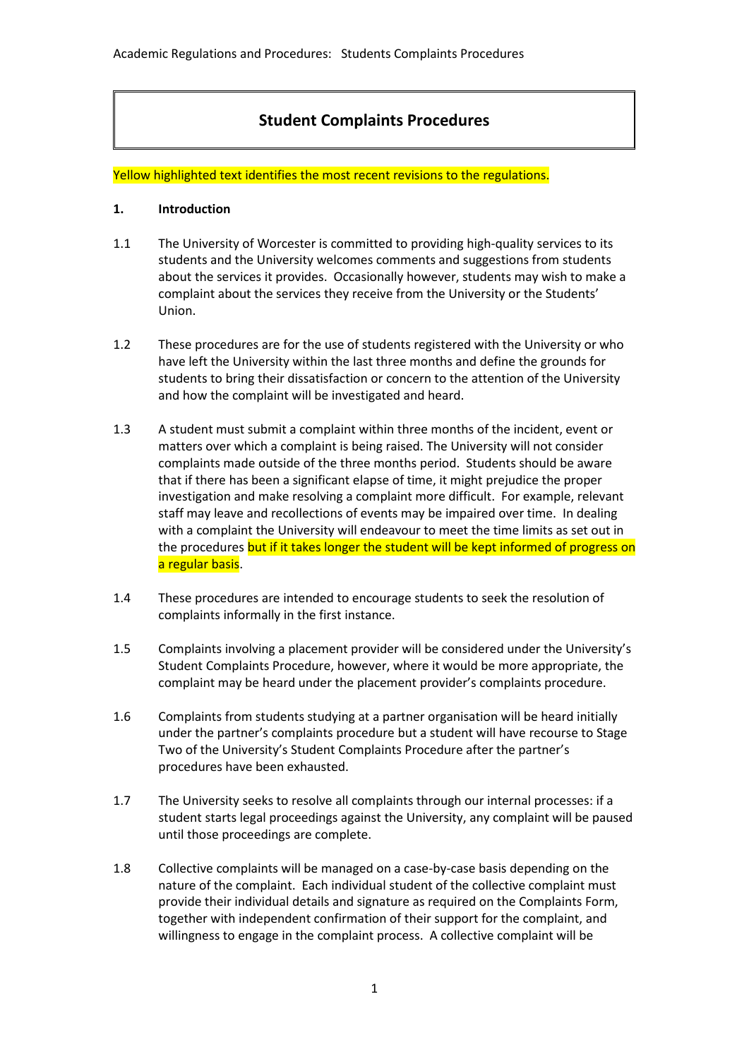# **Student Complaints Procedures**

Yellow highlighted text identifies the most recent revisions to the regulations.

### **1. Introduction**

- 1.1 The University of Worcester is committed to providing high-quality services to its students and the University welcomes comments and suggestions from students about the services it provides. Occasionally however, students may wish to make a complaint about the services they receive from the University or the Students' Union.
- 1.2 These procedures are for the use of students registered with the University or who have left the University within the last three months and define the grounds for students to bring their dissatisfaction or concern to the attention of the University and how the complaint will be investigated and heard.
- 1.3 A student must submit a complaint within three months of the incident, event or matters over which a complaint is being raised. The University will not consider complaints made outside of the three months period. Students should be aware that if there has been a significant elapse of time, it might prejudice the proper investigation and make resolving a complaint more difficult. For example, relevant staff may leave and recollections of events may be impaired over time. In dealing with a complaint the University will endeavour to meet the time limits as set out in the procedures but if it takes longer the student will be kept informed of progress on a regular basis.
- 1.4 These procedures are intended to encourage students to seek the resolution of complaints informally in the first instance.
- 1.5 Complaints involving a placement provider will be considered under the University's Student Complaints Procedure, however, where it would be more appropriate, the complaint may be heard under the placement provider's complaints procedure.
- 1.6 Complaints from students studying at a partner organisation will be heard initially under the partner's complaints procedure but a student will have recourse to Stage Two of the University's Student Complaints Procedure after the partner's procedures have been exhausted.
- 1.7 The University seeks to resolve all complaints through our internal processes: if a student starts legal proceedings against the University, any complaint will be paused until those proceedings are complete.
- 1.8 Collective complaints will be managed on a case-by-case basis depending on the nature of the complaint. Each individual student of the collective complaint must provide their individual details and signature as required on the Complaints Form, together with independent confirmation of their support for the complaint, and willingness to engage in the complaint process. A collective complaint will be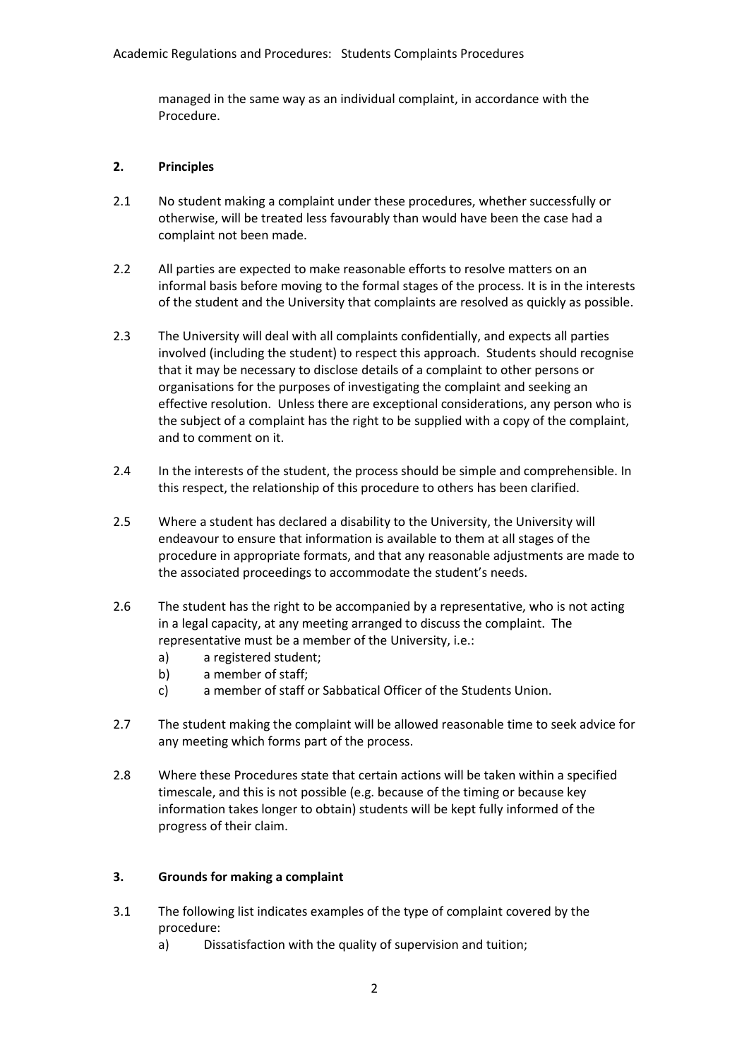managed in the same way as an individual complaint, in accordance with the Procedure.

#### **2. Principles**

- 2.1 No student making a complaint under these procedures, whether successfully or otherwise, will be treated less favourably than would have been the case had a complaint not been made.
- 2.2 All parties are expected to make reasonable efforts to resolve matters on an informal basis before moving to the formal stages of the process. It is in the interests of the student and the University that complaints are resolved as quickly as possible.
- 2.3 The University will deal with all complaints confidentially, and expects all parties involved (including the student) to respect this approach. Students should recognise that it may be necessary to disclose details of a complaint to other persons or organisations for the purposes of investigating the complaint and seeking an effective resolution. Unless there are exceptional considerations, any person who is the subject of a complaint has the right to be supplied with a copy of the complaint, and to comment on it.
- 2.4 In the interests of the student, the process should be simple and comprehensible. In this respect, the relationship of this procedure to others has been clarified.
- 2.5 Where a student has declared a disability to the University, the University will endeavour to ensure that information is available to them at all stages of the procedure in appropriate formats, and that any reasonable adjustments are made to the associated proceedings to accommodate the student's needs.
- 2.6 The student has the right to be accompanied by a representative, who is not acting in a legal capacity, at any meeting arranged to discuss the complaint. The representative must be a member of the University, i.e.:
	- a) a registered student;
	- b) a member of staff;
	- c) a member of staff or Sabbatical Officer of the Students Union.
- 2.7 The student making the complaint will be allowed reasonable time to seek advice for any meeting which forms part of the process.
- 2.8 Where these Procedures state that certain actions will be taken within a specified timescale, and this is not possible (e.g. because of the timing or because key information takes longer to obtain) students will be kept fully informed of the progress of their claim.

# **3. Grounds for making a complaint**

- 3.1 The following list indicates examples of the type of complaint covered by the procedure:
	- a) Dissatisfaction with the quality of supervision and tuition;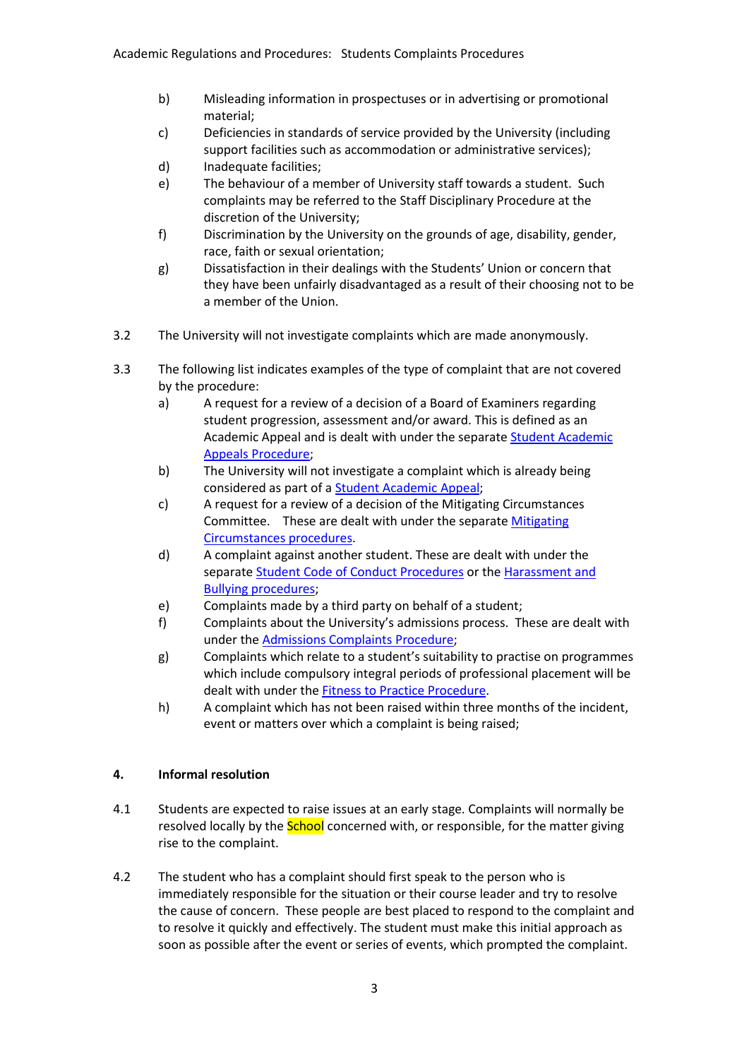- b) Misleading information in prospectuses or in advertising or promotional material;
- c) Deficiencies in standards of service provided by the University (including support facilities such as accommodation or administrative services);
- d) Inadequate facilities;
- e) The behaviour of a member of University staff towards a student. Such complaints may be referred to the Staff Disciplinary Procedure at the discretion of the University;
- f) Discrimination by the University on the grounds of age, disability, gender, race, faith or sexual orientation;
- g) Dissatisfaction in their dealings with the Students' Union or concern that they have been unfairly disadvantaged as a result of their choosing not to be a member of the Union.
- 3.2 The University will not investigate complaints which are made anonymously.
- 3.3 The following list indicates examples of the type of complaint that are not covered by the procedure:
	- a) A request for a review of a decision of a Board of Examiners regarding student progression, assessment and/or award. This is defined as an Academic Appeal and is dealt with under the separate [Student Academic](http://www.worcester.ac.uk/registryservices/documents/ProceduresforAppeals.pdf)  [Appeals Procedure;](http://www.worcester.ac.uk/registryservices/documents/ProceduresforAppeals.pdf)
	- b) The University will not investigate a complaint which is already being considered as part of a [Student Academic Appeal;](http://www.worcester.ac.uk/registryservices/documents/ProceduresforAppeals.pdf)
	- c) A request for a review of a decision of the Mitigating Circumstances Committee. These are dealt with under the separat[e Mitigating](http://www.worcester.ac.uk/registryservices/documents/Proceduresformitigatingcircumstances.pdf)  [Circumstances procedures.](http://www.worcester.ac.uk/registryservices/documents/Proceduresformitigatingcircumstances.pdf)
	- d) A complaint against another student. These are dealt with under the separat[e Student Code of Conduct Procedures](http://www.worcester.ac.uk/registryservices/documents/StudentCodeofConduct.pdf) or the [Harassment and](http://www.worc.ac.uk/personnel/773.htm)  [Bullying procedures;](http://www.worc.ac.uk/personnel/773.htm)
	- e) Complaints made by a third party on behalf of a student;
	- f) Complaints about the University's admissions process. These are dealt with under th[e Admissions Complaints Procedure;](http://www.worcester.ac.uk/registryservices/documents/AdmissionsPolicy.pdf)
	- g) Complaints which relate to a student's suitability to practise on programmes which include compulsory integral periods of professional placement will be dealt with under the [Fitness to Practice Procedure.](http://www.worcester.ac.uk/registryservices/documents/FitnesstoPractiseProcedures.pdf)
	- h) A complaint which has not been raised within three months of the incident, event or matters over which a complaint is being raised;

# **4. Informal resolution**

- 4.1 Students are expected to raise issues at an early stage. Complaints will normally be resolved locally by the **School** concerned with, or responsible, for the matter giving rise to the complaint.
- 4.2 The student who has a complaint should first speak to the person who is immediately responsible for the situation or their course leader and try to resolve the cause of concern. These people are best placed to respond to the complaint and to resolve it quickly and effectively. The student must make this initial approach as soon as possible after the event or series of events, which prompted the complaint.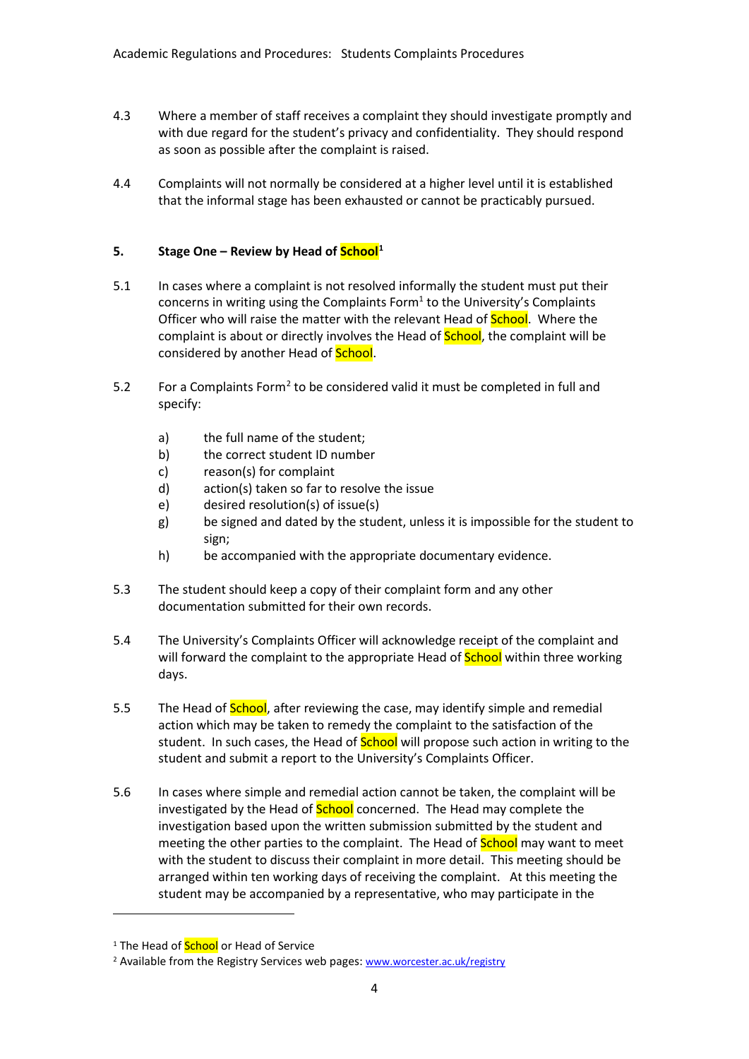- 4.3 Where a member of staff receives a complaint they should investigate promptly and with due regard for the student's privacy and confidentiality. They should respond as soon as possible after the complaint is raised.
- 4.4 Complaints will not normally be considered at a higher level until it is established that the informal stage has been exhausted or cannot be practicably pursued.

# **5. Stage One – Review by Head of School[1](#page-3-0)**

- 5.1 In cases where a complaint is not resolved informally the student must put their concerns in writing using the Complaints Form $1$  to the University's Complaints Officer who will raise the matter with the relevant Head of **School**. Where the complaint is about or directly involves the Head of **School**, the complaint will be considered by another Head of School.
- 5.[2](#page-3-1) For a Complaints Form<sup>2</sup> to be considered valid it must be completed in full and specify:
	- a) the full name of the student;
	- b) the correct student ID number
	- c) reason(s) for complaint
	- d) action(s) taken so far to resolve the issue
	- e) desired resolution(s) of issue(s)
	- g) be signed and dated by the student, unless it is impossible for the student to sign;
	- h) be accompanied with the appropriate documentary evidence.
- 5.3 The student should keep a copy of their complaint form and any other documentation submitted for their own records.
- 5.4 The University's Complaints Officer will acknowledge receipt of the complaint and will forward the complaint to the appropriate Head of **School** within three working days.
- 5.5 The Head of **School**, after reviewing the case, may identify simple and remedial action which may be taken to remedy the complaint to the satisfaction of the student. In such cases, the Head of **School** will propose such action in writing to the student and submit a report to the University's Complaints Officer.
- 5.6 In cases where simple and remedial action cannot be taken, the complaint will be investigated by the Head of **School** concerned. The Head may complete the investigation based upon the written submission submitted by the student and meeting the other parties to the complaint. The Head of **School** may want to meet with the student to discuss their complaint in more detail. This meeting should be arranged within ten working days of receiving the complaint. At this meeting the student may be accompanied by a representative, who may participate in the

<u>.</u>

<span id="page-3-0"></span><sup>&</sup>lt;sup>1</sup> The Head of **School** or Head of Service

<span id="page-3-1"></span><sup>2</sup> Available from the Registry Services web pages: [www.worcester.ac.uk/registry](http://www.worcester.ac.uk/registry)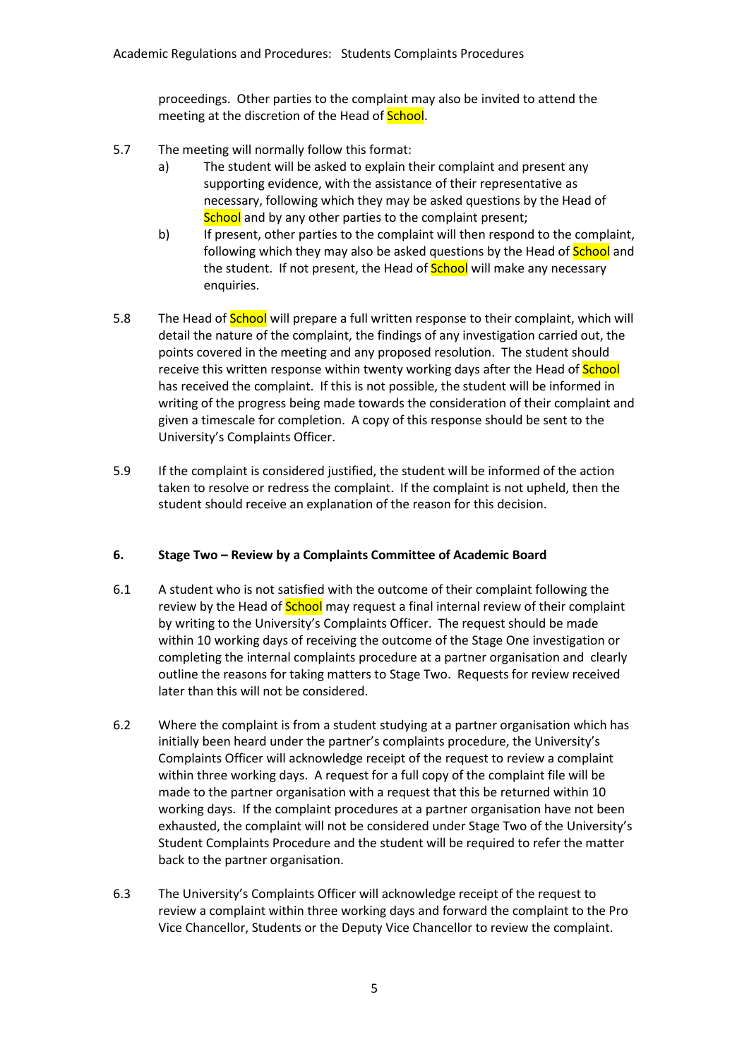proceedings. Other parties to the complaint may also be invited to attend the meeting at the discretion of the Head of **School**.

- 5.7 The meeting will normally follow this format:
	- a) The student will be asked to explain their complaint and present any supporting evidence, with the assistance of their representative as necessary, following which they may be asked questions by the Head of School and by any other parties to the complaint present;
	- b) If present, other parties to the complaint will then respond to the complaint, following which they may also be asked questions by the Head of **School** and the student. If not present, the Head of **School** will make any necessary enquiries.
- 5.8 The Head of **School** will prepare a full written response to their complaint, which will detail the nature of the complaint, the findings of any investigation carried out, the points covered in the meeting and any proposed resolution. The student should receive this written response within twenty working days after the Head of **School** has received the complaint. If this is not possible, the student will be informed in writing of the progress being made towards the consideration of their complaint and given a timescale for completion. A copy of this response should be sent to the University's Complaints Officer.
- 5.9 If the complaint is considered justified, the student will be informed of the action taken to resolve or redress the complaint. If the complaint is not upheld, then the student should receive an explanation of the reason for this decision.

# **6. Stage Two – Review by a Complaints Committee of Academic Board**

- 6.1 A student who is not satisfied with the outcome of their complaint following the review by the Head of **School** may request a final internal review of their complaint by writing to the University's Complaints Officer. The request should be made within 10 working days of receiving the outcome of the Stage One investigation or completing the internal complaints procedure at a partner organisation and clearly outline the reasons for taking matters to Stage Two. Requests for review received later than this will not be considered.
- 6.2 Where the complaint is from a student studying at a partner organisation which has initially been heard under the partner's complaints procedure, the University's Complaints Officer will acknowledge receipt of the request to review a complaint within three working days. A request for a full copy of the complaint file will be made to the partner organisation with a request that this be returned within 10 working days. If the complaint procedures at a partner organisation have not been exhausted, the complaint will not be considered under Stage Two of the University's Student Complaints Procedure and the student will be required to refer the matter back to the partner organisation.
- 6.3 The University's Complaints Officer will acknowledge receipt of the request to review a complaint within three working days and forward the complaint to the Pro Vice Chancellor, Students or the Deputy Vice Chancellor to review the complaint.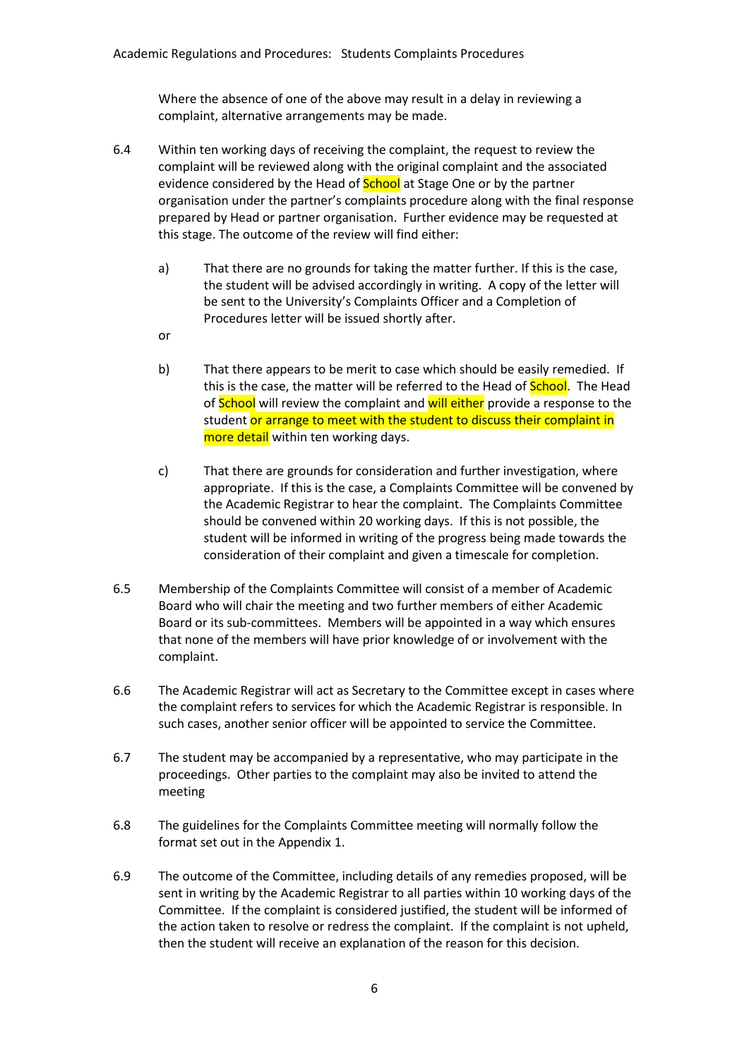Where the absence of one of the above may result in a delay in reviewing a complaint, alternative arrangements may be made.

- 6.4 Within ten working days of receiving the complaint, the request to review the complaint will be reviewed along with the original complaint and the associated evidence considered by the Head of **School** at Stage One or by the partner organisation under the partner's complaints procedure along with the final response prepared by Head or partner organisation. Further evidence may be requested at this stage. The outcome of the review will find either:
	- a) That there are no grounds for taking the matter further. If this is the case, the student will be advised accordingly in writing. A copy of the letter will be sent to the University's Complaints Officer and a Completion of Procedures letter will be issued shortly after.
	- or
	- b) That there appears to be merit to case which should be easily remedied. If this is the case, the matter will be referred to the Head of **School**. The Head of **School** will review the complaint and will either provide a response to the student or arrange to meet with the student to discuss their complaint in more detail within ten working days.
	- c) That there are grounds for consideration and further investigation, where appropriate. If this is the case, a Complaints Committee will be convened by the Academic Registrar to hear the complaint. The Complaints Committee should be convened within 20 working days. If this is not possible, the student will be informed in writing of the progress being made towards the consideration of their complaint and given a timescale for completion.
- 6.5 Membership of the Complaints Committee will consist of a member of Academic Board who will chair the meeting and two further members of either Academic Board or its sub-committees. Members will be appointed in a way which ensures that none of the members will have prior knowledge of or involvement with the complaint.
- 6.6 The Academic Registrar will act as Secretary to the Committee except in cases where the complaint refers to services for which the Academic Registrar is responsible. In such cases, another senior officer will be appointed to service the Committee.
- 6.7 The student may be accompanied by a representative, who may participate in the proceedings. Other parties to the complaint may also be invited to attend the meeting
- 6.8 The guidelines for the Complaints Committee meeting will normally follow the format set out in the Appendix 1.
- 6.9 The outcome of the Committee, including details of any remedies proposed, will be sent in writing by the Academic Registrar to all parties within 10 working days of the Committee. If the complaint is considered justified, the student will be informed of the action taken to resolve or redress the complaint. If the complaint is not upheld, then the student will receive an explanation of the reason for this decision.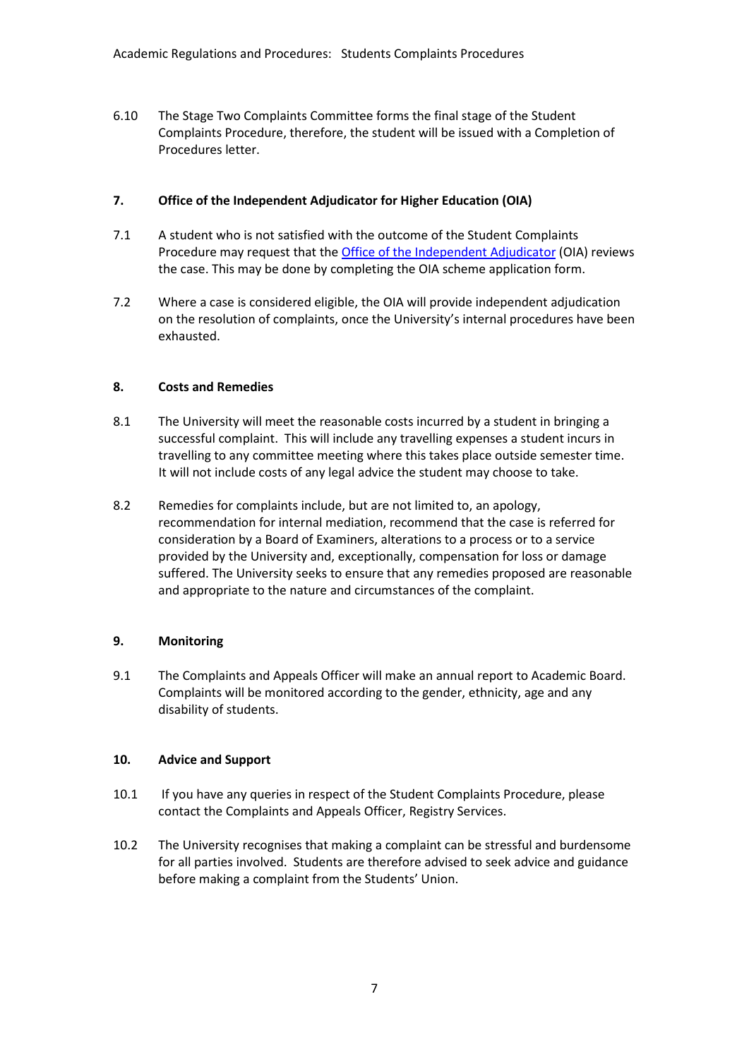6.10 The Stage Two Complaints Committee forms the final stage of the Student Complaints Procedure, therefore, the student will be issued with a Completion of Procedures letter.

## **7. Office of the Independent Adjudicator for Higher Education (OIA)**

- 7.1 A student who is not satisfied with the outcome of the Student Complaints Procedure may request that th[e Office of the Independent Adjudicator](http://www.oiahe.org.uk/) (OIA) reviews the case. This may be done by completing the OIA scheme application form.
- 7.2 Where a case is considered eligible, the OIA will provide independent adjudication on the resolution of complaints, once the University's internal procedures have been exhausted.

# **8. Costs and Remedies**

- 8.1 The University will meet the reasonable costs incurred by a student in bringing a successful complaint. This will include any travelling expenses a student incurs in travelling to any committee meeting where this takes place outside semester time. It will not include costs of any legal advice the student may choose to take.
- 8.2 Remedies for complaints include, but are not limited to, an apology, recommendation for internal mediation, recommend that the case is referred for consideration by a Board of Examiners, alterations to a process or to a service provided by the University and, exceptionally, compensation for loss or damage suffered. The University seeks to ensure that any remedies proposed are reasonable and appropriate to the nature and circumstances of the complaint.

# **9. Monitoring**

9.1 The Complaints and Appeals Officer will make an annual report to Academic Board. Complaints will be monitored according to the gender, ethnicity, age and any disability of students.

# **10. Advice and Support**

- 10.1 If you have any queries in respect of the Student Complaints Procedure, please contact the Complaints and Appeals Officer, Registry Services.
- 10.2 The University recognises that making a complaint can be stressful and burdensome for all parties involved. Students are therefore advised to seek advice and guidance before making a complaint from the Students' Union.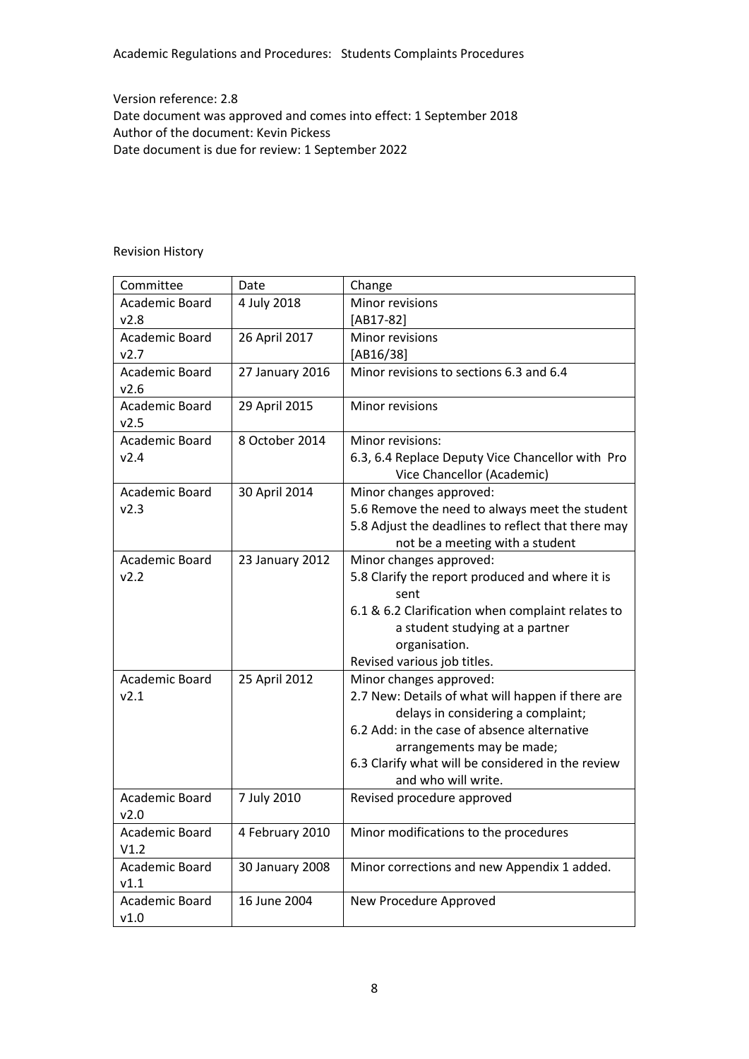Academic Regulations and Procedures: Students Complaints Procedures

Version reference: 2.8 Date document was approved and comes into effect: 1 September 2018 Author of the document: Kevin Pickess Date document is due for review: 1 September 2022

## Revision History

| Committee             | Date            | Change                                             |
|-----------------------|-----------------|----------------------------------------------------|
| <b>Academic Board</b> | 4 July 2018     | Minor revisions                                    |
| v2.8                  |                 | $[AB17-82]$                                        |
| Academic Board        | 26 April 2017   | Minor revisions                                    |
| v2.7                  |                 | $[AB16/38]$                                        |
| Academic Board        | 27 January 2016 | Minor revisions to sections 6.3 and 6.4            |
| v2.6                  |                 |                                                    |
| Academic Board        | 29 April 2015   | Minor revisions                                    |
| v2.5                  |                 |                                                    |
| Academic Board        | 8 October 2014  | Minor revisions:                                   |
| v2.4                  |                 | 6.3, 6.4 Replace Deputy Vice Chancellor with Pro   |
|                       |                 | Vice Chancellor (Academic)                         |
| Academic Board        | 30 April 2014   | Minor changes approved:                            |
| v2.3                  |                 | 5.6 Remove the need to always meet the student     |
|                       |                 | 5.8 Adjust the deadlines to reflect that there may |
|                       |                 | not be a meeting with a student                    |
| Academic Board        | 23 January 2012 | Minor changes approved:                            |
| v2.2                  |                 | 5.8 Clarify the report produced and where it is    |
|                       |                 | sent                                               |
|                       |                 | 6.1 & 6.2 Clarification when complaint relates to  |
|                       |                 | a student studying at a partner                    |
|                       |                 | organisation.                                      |
|                       |                 | Revised various job titles.                        |
| Academic Board        | 25 April 2012   | Minor changes approved:                            |
| v2.1                  |                 | 2.7 New: Details of what will happen if there are  |
|                       |                 | delays in considering a complaint;                 |
|                       |                 | 6.2 Add: in the case of absence alternative        |
|                       |                 | arrangements may be made;                          |
|                       |                 | 6.3 Clarify what will be considered in the review  |
|                       |                 | and who will write.                                |
| Academic Board        | 7 July 2010     | Revised procedure approved                         |
| v2.0                  |                 |                                                    |
| Academic Board        | 4 February 2010 | Minor modifications to the procedures              |
| V1.2                  |                 |                                                    |
| Academic Board        | 30 January 2008 | Minor corrections and new Appendix 1 added.        |
| v1.1                  |                 |                                                    |
| Academic Board        | 16 June 2004    | New Procedure Approved                             |
| v1.0                  |                 |                                                    |